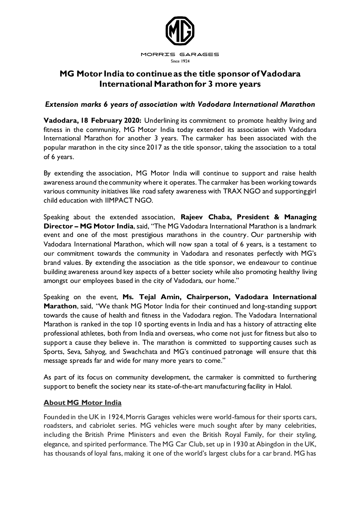

## **MG Motor India to continue as the title sponsor of Vadodara International Marathon for 3 more years**

## *Extension marks 6 years of association with Vadodara International Marathon*

**Vadodara, 18 February 2020:** Underlining its commitment to promote healthy living and fitness in the community, MG Motor India today extended its association with Vadodara International Marathon for another 3 years. The carmaker has been associated with the popular marathon in the city since 2017 as the title sponsor, taking the association to a total of 6 years.

By extending the association, MG Motor India will continue to support and raise health awareness around the community where it operates. The carmaker has been working towards various community initiatives like road safety awareness with TRAX NGO and supporting girl child education with IIMPACT NGO.

Speaking about the extended association, **Rajeev Chaba, President & Managing Director – MG Motor India**, said, "The MG Vadodara International Marathon is a landmark event and one of the most prestigious marathons in the country. Our partnership with Vadodara International Marathon, which will now span a total of 6 years, is a testament to our commitment towards the community in Vadodara and resonates perfectly with MG's brand values. By extending the association as the title sponsor, we endeavour to continue building awareness around key aspects of a better society while also promoting healthy living amongst our employees based in the city of Vadodara, our home."

Speaking on the event, **Ms. Tejal Amin, Chairperson, Vadodara International Marathon**, said, "We thank MG Motor India for their continued and long-standing support towards the cause of health and fitness in the Vadodara region. The Vadodara International Marathon is ranked in the top 10 sporting events in India and has a history of attracting elite professional athletes, both from India and overseas, who come not just for fitness but also to support a cause they believe in. The marathon is committed to supporting causes such as Sports, Seva, Sahyog, and Swachchata and MG's continued patronage will ensure that this message spreads far and wide for many more years to come."

As part of its focus on community development, the carmaker is committed to furthering support to benefit the society near its state-of-the-art manufacturing facility in Halol.

## **About MG Motor India**

Founded in the UK in 1924, Morris Garages vehicles were world-famous for their sports cars, roadsters, and cabriolet series. MG vehicles were much sought after by many celebrities, including the British Prime Ministers and even the British Royal Family, for their styling, elegance, and spirited performance. The MG Car Club, set up in 1930 at Abingdon in the UK, has thousands of loyal fans, making it one of the world's largest clubs for a car brand. MG has